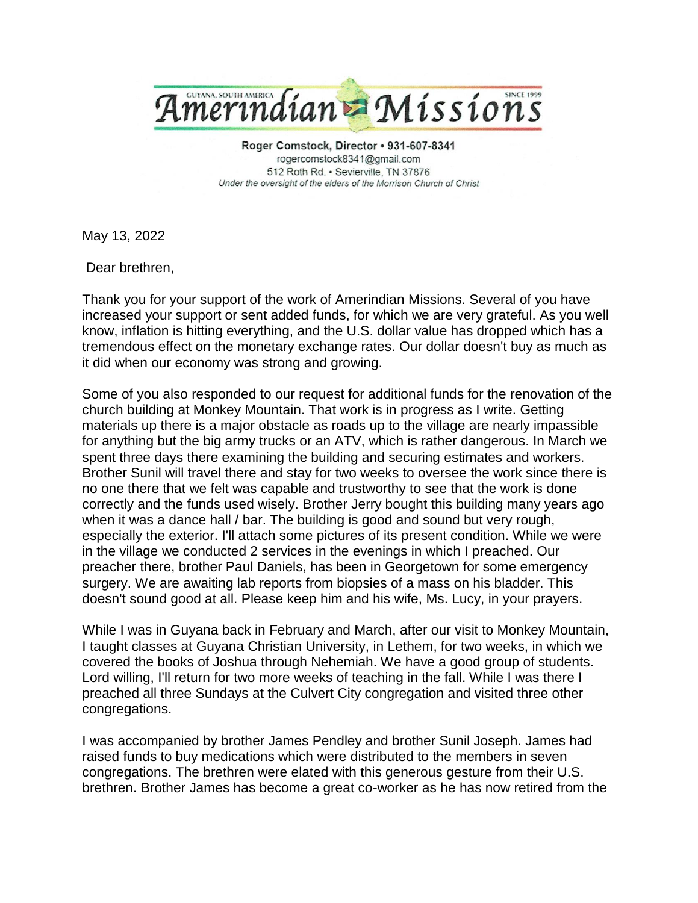

Roger Comstock, Director · 931-607-8341 rogercomstock8341@gmail.com 512 Roth Rd. · Sevierville, TN 37876 Under the oversight of the elders of the Morrison Church of Christ

May 13, 2022

Dear brethren,

Thank you for your support of the work of Amerindian Missions. Several of you have increased your support or sent added funds, for which we are very grateful. As you well know, inflation is hitting everything, and the U.S. dollar value has dropped which has a tremendous effect on the monetary exchange rates. Our dollar doesn't buy as much as it did when our economy was strong and growing.

Some of you also responded to our request for additional funds for the renovation of the church building at Monkey Mountain. That work is in progress as I write. Getting materials up there is a major obstacle as roads up to the village are nearly impassible for anything but the big army trucks or an ATV, which is rather dangerous. In March we spent three days there examining the building and securing estimates and workers. Brother Sunil will travel there and stay for two weeks to oversee the work since there is no one there that we felt was capable and trustworthy to see that the work is done correctly and the funds used wisely. Brother Jerry bought this building many years ago when it was a dance hall / bar. The building is good and sound but very rough, especially the exterior. I'll attach some pictures of its present condition. While we were in the village we conducted 2 services in the evenings in which I preached. Our preacher there, brother Paul Daniels, has been in Georgetown for some emergency surgery. We are awaiting lab reports from biopsies of a mass on his bladder. This doesn't sound good at all. Please keep him and his wife, Ms. Lucy, in your prayers.

While I was in Guyana back in February and March, after our visit to Monkey Mountain, I taught classes at Guyana Christian University, in Lethem, for two weeks, in which we covered the books of Joshua through Nehemiah. We have a good group of students. Lord willing, I'll return for two more weeks of teaching in the fall. While I was there I preached all three Sundays at the Culvert City congregation and visited three other congregations.

I was accompanied by brother James Pendley and brother Sunil Joseph. James had raised funds to buy medications which were distributed to the members in seven congregations. The brethren were elated with this generous gesture from their U.S. brethren. Brother James has become a great co-worker as he has now retired from the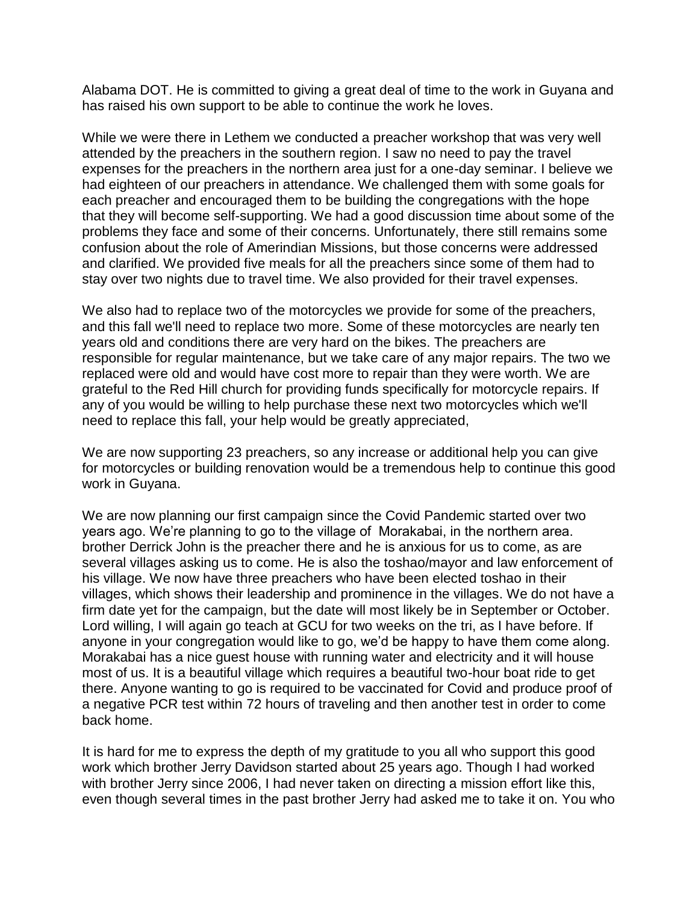Alabama DOT. He is committed to giving a great deal of time to the work in Guyana and has raised his own support to be able to continue the work he loves.

While we were there in Lethem we conducted a preacher workshop that was very well attended by the preachers in the southern region. I saw no need to pay the travel expenses for the preachers in the northern area just for a one-day seminar. I believe we had eighteen of our preachers in attendance. We challenged them with some goals for each preacher and encouraged them to be building the congregations with the hope that they will become self-supporting. We had a good discussion time about some of the problems they face and some of their concerns. Unfortunately, there still remains some confusion about the role of Amerindian Missions, but those concerns were addressed and clarified. We provided five meals for all the preachers since some of them had to stay over two nights due to travel time. We also provided for their travel expenses.

We also had to replace two of the motorcycles we provide for some of the preachers, and this fall we'll need to replace two more. Some of these motorcycles are nearly ten years old and conditions there are very hard on the bikes. The preachers are responsible for regular maintenance, but we take care of any major repairs. The two we replaced were old and would have cost more to repair than they were worth. We are grateful to the Red Hill church for providing funds specifically for motorcycle repairs. If any of you would be willing to help purchase these next two motorcycles which we'll need to replace this fall, your help would be greatly appreciated,

We are now supporting 23 preachers, so any increase or additional help you can give for motorcycles or building renovation would be a tremendous help to continue this good work in Guyana.

We are now planning our first campaign since the Covid Pandemic started over two years ago. We're planning to go to the village of Morakabai, in the northern area. brother Derrick John is the preacher there and he is anxious for us to come, as are several villages asking us to come. He is also the toshao/mayor and law enforcement of his village. We now have three preachers who have been elected toshao in their villages, which shows their leadership and prominence in the villages. We do not have a firm date yet for the campaign, but the date will most likely be in September or October. Lord willing, I will again go teach at GCU for two weeks on the tri, as I have before. If anyone in your congregation would like to go, we'd be happy to have them come along. Morakabai has a nice guest house with running water and electricity and it will house most of us. It is a beautiful village which requires a beautiful two-hour boat ride to get there. Anyone wanting to go is required to be vaccinated for Covid and produce proof of a negative PCR test within 72 hours of traveling and then another test in order to come back home.

It is hard for me to express the depth of my gratitude to you all who support this good work which brother Jerry Davidson started about 25 years ago. Though I had worked with brother Jerry since 2006, I had never taken on directing a mission effort like this, even though several times in the past brother Jerry had asked me to take it on. You who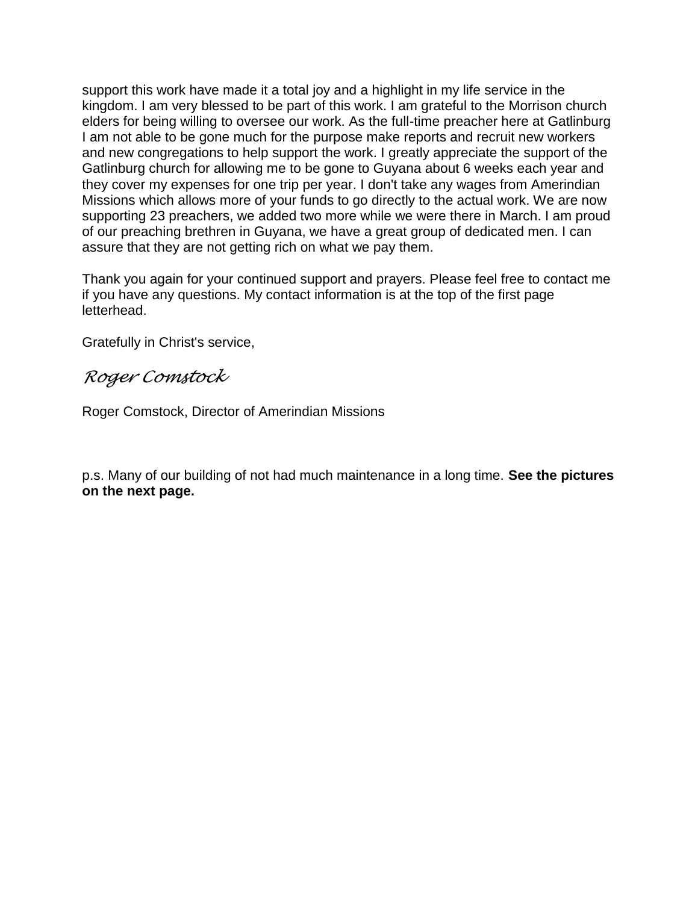support this work have made it a total joy and a highlight in my life service in the kingdom. I am very blessed to be part of this work. I am grateful to the Morrison church elders for being willing to oversee our work. As the full-time preacher here at Gatlinburg I am not able to be gone much for the purpose make reports and recruit new workers and new congregations to help support the work. I greatly appreciate the support of the Gatlinburg church for allowing me to be gone to Guyana about 6 weeks each year and they cover my expenses for one trip per year. I don't take any wages from Amerindian Missions which allows more of your funds to go directly to the actual work. We are now supporting 23 preachers, we added two more while we were there in March. I am proud of our preaching brethren in Guyana, we have a great group of dedicated men. I can assure that they are not getting rich on what we pay them.

Thank you again for your continued support and prayers. Please feel free to contact me if you have any questions. My contact information is at the top of the first page letterhead.

Gratefully in Christ's service,

## *Roger Comstock*

Roger Comstock, Director of Amerindian Missions

p.s. Many of our building of not had much maintenance in a long time. **See the pictures on the next page.**